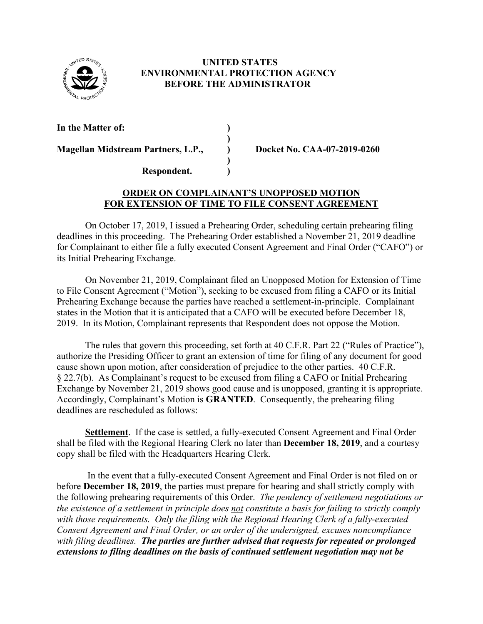

## **UNITED STATES ENVIRONMENTAL PROTECTION AGENCY BEFORE THE ADMINISTRATOR**

**In the Matter of: )**

**Magellan Midstream Partners, L.P., ) Docket No. CAA-07-2019-0260**

**Respondent. )**

## **ORDER ON COMPLAINANT'S UNOPPOSED MOTION FOR EXTENSION OF TIME TO FILE CONSENT AGREEMENT**

**)** 

**)**

On October 17, 2019, I issued a Prehearing Order, scheduling certain prehearing filing deadlines in this proceeding. The Prehearing Order established a November 21, 2019 deadline for Complainant to either file a fully executed Consent Agreement and Final Order ("CAFO") or its Initial Prehearing Exchange.

On November 21, 2019, Complainant filed an Unopposed Motion for Extension of Time to File Consent Agreement ("Motion"), seeking to be excused from filing a CAFO or its Initial Prehearing Exchange because the parties have reached a settlement-in-principle. Complainant states in the Motion that it is anticipated that a CAFO will be executed before December 18, 2019. In its Motion, Complainant represents that Respondent does not oppose the Motion.

The rules that govern this proceeding, set forth at 40 C.F.R. Part 22 ("Rules of Practice"), authorize the Presiding Officer to grant an extension of time for filing of any document for good cause shown upon motion, after consideration of prejudice to the other parties. 40 C.F.R. § 22.7(b). As Complainant's request to be excused from filing a CAFO or Initial Prehearing Exchange by November 21, 2019 shows good cause and is unopposed, granting it is appropriate. Accordingly, Complainant's Motion is **GRANTED**. Consequently, the prehearing filing deadlines are rescheduled as follows:

**Settlement**. If the case is settled, a fully-executed Consent Agreement and Final Order shall be filed with the Regional Hearing Clerk no later than **December 18, 2019**, and a courtesy copy shall be filed with the Headquarters Hearing Clerk.

In the event that a fully-executed Consent Agreement and Final Order is not filed on or before **December 18, 2019**, the parties must prepare for hearing and shall strictly comply with the following prehearing requirements of this Order. *The pendency of settlement negotiations or the existence of a settlement in principle does not constitute a basis for failing to strictly comply with those requirements. Only the filing with the Regional Hearing Clerk of a fully-executed Consent Agreement and Final Order, or an order of the undersigned, excuses noncompliance with filing deadlines. The parties are further advised that requests for repeated or prolonged extensions to filing deadlines on the basis of continued settlement negotiation may not be*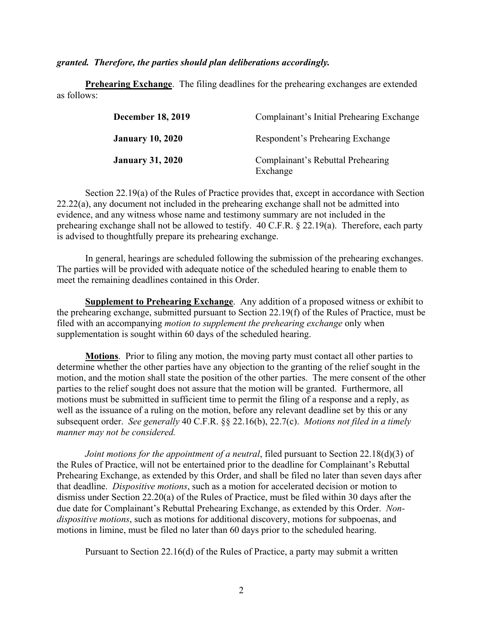*granted. Therefore, the parties should plan deliberations accordingly.*

**Prehearing Exchange**. The filing deadlines for the prehearing exchanges are extended as follows:

| <b>December 18, 2019</b> | Complainant's Initial Prehearing Exchange     |
|--------------------------|-----------------------------------------------|
| <b>January 10, 2020</b>  | Respondent's Prehearing Exchange              |
| <b>January 31, 2020</b>  | Complainant's Rebuttal Prehearing<br>Exchange |

Section 22.19(a) of the Rules of Practice provides that, except in accordance with Section 22.22(a), any document not included in the prehearing exchange shall not be admitted into evidence, and any witness whose name and testimony summary are not included in the prehearing exchange shall not be allowed to testify. 40 C.F.R. § 22.19(a). Therefore, each party is advised to thoughtfully prepare its prehearing exchange.

In general, hearings are scheduled following the submission of the prehearing exchanges. The parties will be provided with adequate notice of the scheduled hearing to enable them to meet the remaining deadlines contained in this Order.

**Supplement to Prehearing Exchange**. Any addition of a proposed witness or exhibit to the prehearing exchange, submitted pursuant to Section 22.19(f) of the Rules of Practice, must be filed with an accompanying *motion to supplement the prehearing exchange* only when supplementation is sought within 60 days of the scheduled hearing.

**Motions**. Prior to filing any motion, the moving party must contact all other parties to determine whether the other parties have any objection to the granting of the relief sought in the motion, and the motion shall state the position of the other parties. The mere consent of the other parties to the relief sought does not assure that the motion will be granted. Furthermore, all motions must be submitted in sufficient time to permit the filing of a response and a reply, as well as the issuance of a ruling on the motion, before any relevant deadline set by this or any subsequent order. *See generally* 40 C.F.R. §§ 22.16(b), 22.7(c). *Motions not filed in a timely manner may not be considered.*

*Joint motions for the appointment of a neutral*, filed pursuant to Section 22.18(d)(3) of the Rules of Practice, will not be entertained prior to the deadline for Complainant's Rebuttal Prehearing Exchange, as extended by this Order, and shall be filed no later than seven days after that deadline. *Dispositive motions*, such as a motion for accelerated decision or motion to dismiss under Section 22.20(a) of the Rules of Practice, must be filed within 30 days after the due date for Complainant's Rebuttal Prehearing Exchange, as extended by this Order. *Nondispositive motions*, such as motions for additional discovery, motions for subpoenas, and motions in limine, must be filed no later than 60 days prior to the scheduled hearing.

Pursuant to Section 22.16(d) of the Rules of Practice, a party may submit a written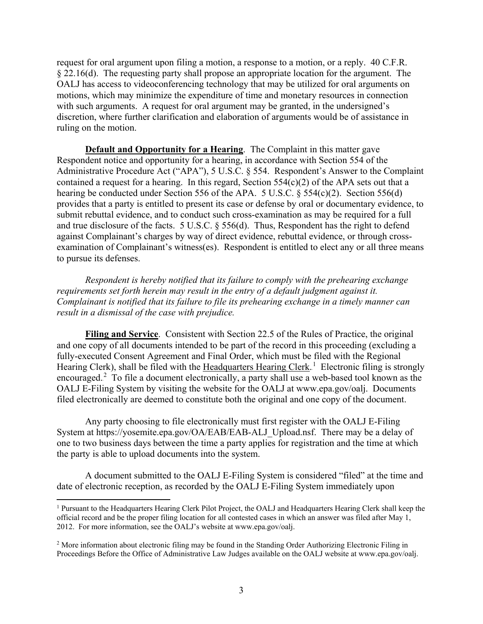request for oral argument upon filing a motion, a response to a motion, or a reply. 40 C.F.R. § 22.16(d). The requesting party shall propose an appropriate location for the argument. The OALJ has access to videoconferencing technology that may be utilized for oral arguments on motions, which may minimize the expenditure of time and monetary resources in connection with such arguments. A request for oral argument may be granted, in the undersigned's discretion, where further clarification and elaboration of arguments would be of assistance in ruling on the motion.

**Default and Opportunity for a Hearing**. The Complaint in this matter gave Respondent notice and opportunity for a hearing, in accordance with Section 554 of the Administrative Procedure Act ("APA"), 5 U.S.C. § 554. Respondent's Answer to the Complaint contained a request for a hearing. In this regard, Section  $554(c)(2)$  of the APA sets out that a hearing be conducted under Section 556 of the APA. 5 U.S.C. § 554(c)(2). Section 556(d) provides that a party is entitled to present its case or defense by oral or documentary evidence, to submit rebuttal evidence, and to conduct such cross-examination as may be required for a full and true disclosure of the facts. 5 U.S.C. § 556(d). Thus, Respondent has the right to defend against Complainant's charges by way of direct evidence, rebuttal evidence, or through crossexamination of Complainant's witness(es). Respondent is entitled to elect any or all three means to pursue its defenses.

*Respondent is hereby notified that its failure to comply with the prehearing exchange requirements set forth herein may result in the entry of a default judgment against it. Complainant is notified that its failure to file its prehearing exchange in a timely manner can result in a dismissal of the case with prejudice.* 

**Filing and Service**. Consistent with Section 22.5 of the Rules of Practice, the original and one copy of all documents intended to be part of the record in this proceeding (excluding a fully-executed Consent Agreement and Final Order, which must be filed with the Regional Hearing Clerk), shall be filed with the Headquarters Hearing Clerk.<sup>1</sup> Electronic filing is strongly encouraged.<sup>2</sup> To file a document electronically, a party shall use a web-based tool known as the OALJ E-Filing System by visiting the website for the OALJ at www.epa.gov/oalj. Documents filed electronically are deemed to constitute both the original and one copy of the document.

Any party choosing to file electronically must first register with the OALJ E-Filing System at https://yosemite.epa.gov/OA/EAB/EAB-ALJ\_Upload.nsf. There may be a delay of one to two business days between the time a party applies for registration and the time at which the party is able to upload documents into the system.

A document submitted to the OALJ E-Filing System is considered "filed" at the time and date of electronic reception, as recorded by the OALJ E-Filing System immediately upon

l

<sup>&</sup>lt;sup>1</sup> Pursuant to the Headquarters Hearing Clerk Pilot Project, the OALJ and Headquarters Hearing Clerk shall keep the official record and be the proper filing location for all contested cases in which an answer was filed after May 1, 2012. For more information, see the OALJ's website at www.epa.gov/oalj.

<sup>&</sup>lt;sup>2</sup> More information about electronic filing may be found in the Standing Order Authorizing Electronic Filing in Proceedings Before the Office of Administrative Law Judges available on the OALJ website at www.epa.gov/oalj.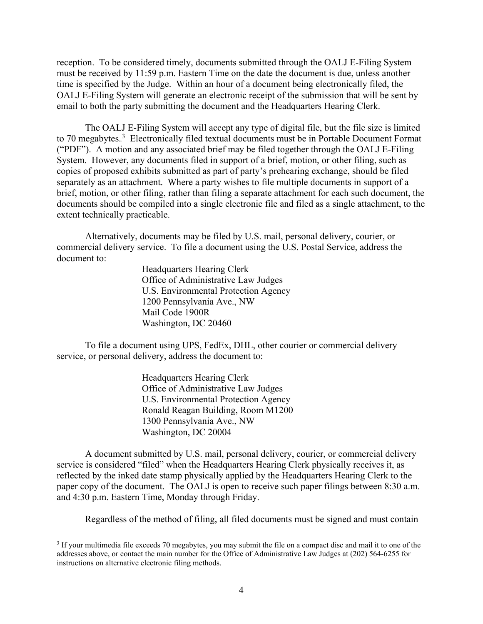reception. To be considered timely, documents submitted through the OALJ E-Filing System must be received by 11:59 p.m. Eastern Time on the date the document is due, unless another time is specified by the Judge. Within an hour of a document being electronically filed, the OALJ E-Filing System will generate an electronic receipt of the submission that will be sent by email to both the party submitting the document and the Headquarters Hearing Clerk.

The OALJ E-Filing System will accept any type of digital file, but the file size is limited to 70 megabytes. $3$  Electronically filed textual documents must be in Portable Document Format ("PDF"). A motion and any associated brief may be filed together through the OALJ E-Filing System. However, any documents filed in support of a brief, motion, or other filing, such as copies of proposed exhibits submitted as part of party's prehearing exchange, should be filed separately as an attachment. Where a party wishes to file multiple documents in support of a brief, motion, or other filing, rather than filing a separate attachment for each such document, the documents should be compiled into a single electronic file and filed as a single attachment, to the extent technically practicable.

Alternatively, documents may be filed by U.S. mail, personal delivery, courier, or commercial delivery service. To file a document using the U.S. Postal Service, address the document to:

> Headquarters Hearing Clerk Office of Administrative Law Judges U.S. Environmental Protection Agency 1200 Pennsylvania Ave., NW Mail Code 1900R Washington, DC 20460

To file a document using UPS, FedEx, DHL, other courier or commercial delivery service, or personal delivery, address the document to:

> Headquarters Hearing Clerk Office of Administrative Law Judges U.S. Environmental Protection Agency Ronald Reagan Building, Room M1200 1300 Pennsylvania Ave., NW Washington, DC 20004

A document submitted by U.S. mail, personal delivery, courier, or commercial delivery service is considered "filed" when the Headquarters Hearing Clerk physically receives it, as reflected by the inked date stamp physically applied by the Headquarters Hearing Clerk to the paper copy of the document. The OALJ is open to receive such paper filings between 8:30 a.m. and 4:30 p.m. Eastern Time, Monday through Friday.

Regardless of the method of filing, all filed documents must be signed and must contain

 $\overline{a}$ 

<sup>&</sup>lt;sup>3</sup> If your multimedia file exceeds 70 megabytes, you may submit the file on a compact disc and mail it to one of the addresses above, or contact the main number for the Office of Administrative Law Judges at (202) 564-6255 for instructions on alternative electronic filing methods.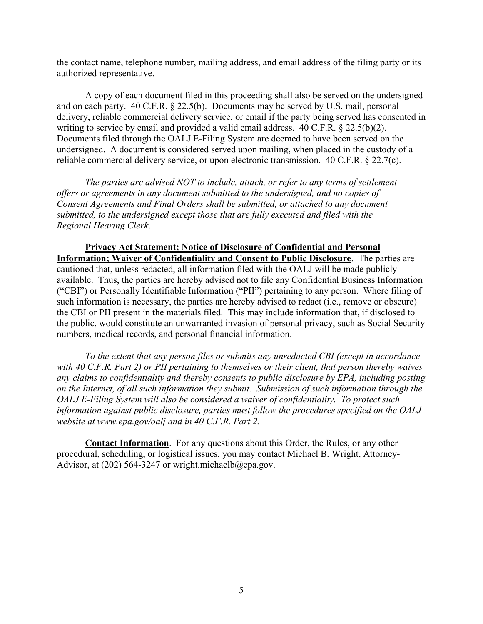the contact name, telephone number, mailing address, and email address of the filing party or its authorized representative.

A copy of each document filed in this proceeding shall also be served on the undersigned and on each party. 40 C.F.R. § 22.5(b). Documents may be served by U.S. mail, personal delivery, reliable commercial delivery service, or email if the party being served has consented in writing to service by email and provided a valid email address. 40 C.F.R. § 22.5(b)(2). Documents filed through the OALJ E-Filing System are deemed to have been served on the undersigned. A document is considered served upon mailing, when placed in the custody of a reliable commercial delivery service, or upon electronic transmission. 40 C.F.R. § 22.7(c).

*The parties are advised NOT to include, attach, or refer to any terms of settlement offers or agreements in any document submitted to the undersigned, and no copies of Consent Agreements and Final Orders shall be submitted, or attached to any document submitted, to the undersigned except those that are fully executed and filed with the Regional Hearing Clerk*.

**Privacy Act Statement; Notice of Disclosure of Confidential and Personal Information; Waiver of Confidentiality and Consent to Public Disclosure**.The parties are cautioned that, unless redacted, all information filed with the OALJ will be made publicly available. Thus, the parties are hereby advised not to file any Confidential Business Information ("CBI") or Personally Identifiable Information ("PII") pertaining to any person. Where filing of such information is necessary, the parties are hereby advised to redact (i.e., remove or obscure) the CBI or PII present in the materials filed. This may include information that, if disclosed to the public, would constitute an unwarranted invasion of personal privacy, such as Social Security numbers, medical records, and personal financial information.

*To the extent that any person files or submits any unredacted CBI (except in accordance with 40 C.F.R. Part 2) or PII pertaining to themselves or their client, that person thereby waives any claims to confidentiality and thereby consents to public disclosure by EPA, including posting on the Internet, of all such information they submit. Submission of such information through the OALJ E-Filing System will also be considered a waiver of confidentiality. To protect such information against public disclosure, parties must follow the procedures specified on the OALJ website at www.epa.gov/oalj and in 40 C.F.R. Part 2.*

**Contact Information**. For any questions about this Order, the Rules, or any other procedural, scheduling, or logistical issues, you may contact Michael B. Wright, Attorney-Advisor, at (202) 564-3247 or wright.michaelb@epa.gov.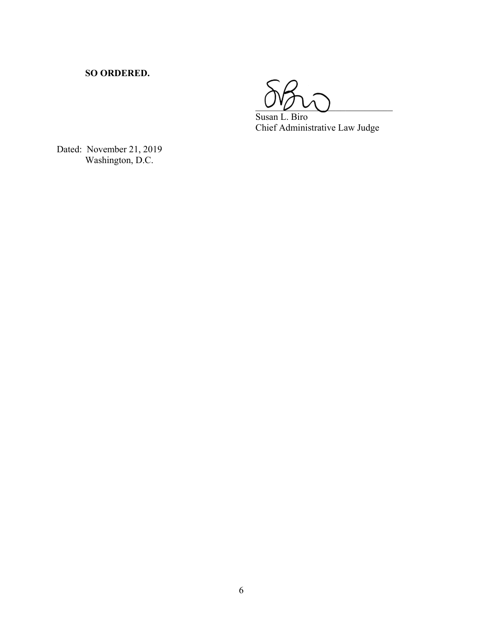## **SO ORDERED.**

 $\cup \cup \cup$ 

 Susan L. Biro Chief Administrative Law Judge

Dated: November 21, 2019 Washington, D.C.